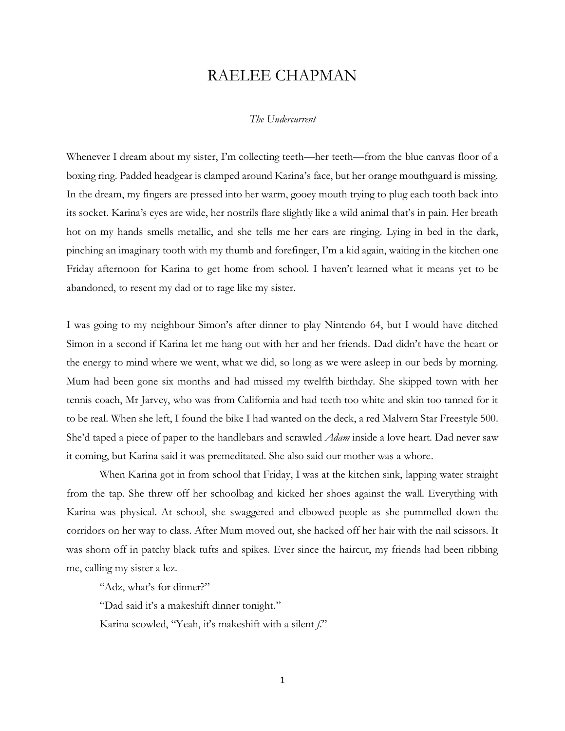## RAELEE CHAPMAN

## *The Undercurrent*

Whenever I dream about my sister, I'm collecting teeth—her teeth—from the blue canvas floor of a boxing ring. Padded headgear is clamped around Karina's face, but her orange mouthguard is missing. In the dream, my fingers are pressed into her warm, gooey mouth trying to plug each tooth back into its socket. Karina's eyes are wide, her nostrils flare slightly like a wild animal that's in pain. Her breath hot on my hands smells metallic, and she tells me her ears are ringing. Lying in bed in the dark, pinching an imaginary tooth with my thumb and forefinger, I'm a kid again, waiting in the kitchen one Friday afternoon for Karina to get home from school. I haven't learned what it means yet to be abandoned, to resent my dad or to rage like my sister.

I was going to my neighbour Simon's after dinner to play Nintendo 64, but I would have ditched Simon in a second if Karina let me hang out with her and her friends. Dad didn't have the heart or the energy to mind where we went, what we did, so long as we were asleep in our beds by morning. Mum had been gone six months and had missed my twelfth birthday. She skipped town with her tennis coach, Mr Jarvey, who was from California and had teeth too white and skin too tanned for it to be real. When she left, I found the bike I had wanted on the deck, a red Malvern Star Freestyle 500. She'd taped a piece of paper to the handlebars and scrawled *Adam* inside a love heart. Dad never saw it coming, but Karina said it was premeditated. She also said our mother was a whore.

When Karina got in from school that Friday, I was at the kitchen sink, lapping water straight from the tap. She threw off her schoolbag and kicked her shoes against the wall. Everything with Karina was physical. At school, she swaggered and elbowed people as she pummelled down the corridors on her way to class. After Mum moved out, she hacked off her hair with the nail scissors. It was shorn off in patchy black tufts and spikes. Ever since the haircut, my friends had been ribbing me, calling my sister a lez.

"Adz, what's for dinner?"

"Dad said it's a makeshift dinner tonight."

Karina scowled, "Yeah, it's makeshift with a silent *f*."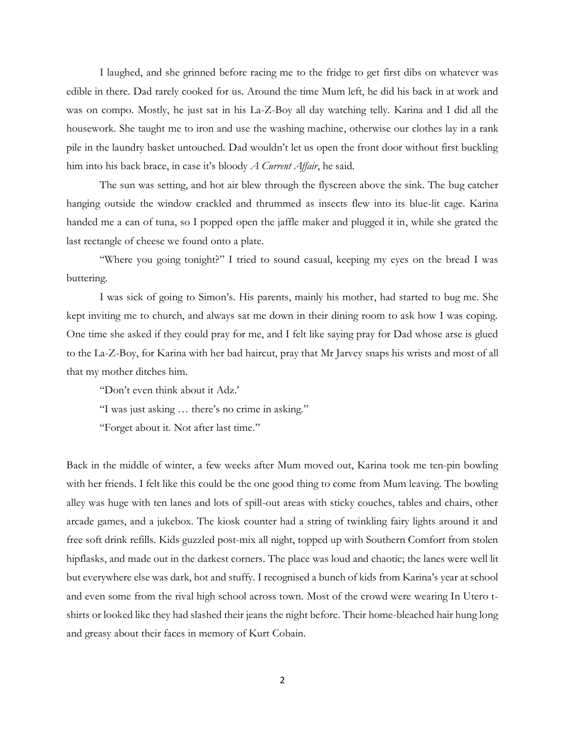I laughed, and she grinned before racing me to the fridge to get first dibs on whatever was edible in there. Dad rarely cooked for us. Around the time Mum left, he did his back in at work and was on compo. Mostly, he just sat in his La-Z-Boy all day watching telly. Karina and I did all the housework. She taught me to iron and use the washing machine, otherwise our clothes lay in a rank pile in the laundry basket untouched. Dad wouldn't let us open the front door without first buckling him into his back brace, in case it's bloody *A Current Affair*, he said.

The sun was setting, and hot air blew through the flyscreen above the sink. The bug catcher hanging outside the window crackled and thrummed as insects flew into its blue-lit cage. Karina handed me a can of tuna, so I popped open the jaffle maker and plugged it in, while she grated the last rectangle of cheese we found onto a plate.

"Where you going tonight?" I tried to sound casual, keeping my eyes on the bread I was buttering.

I was sick of going to Simon's. His parents, mainly his mother, had started to bug me. She kept inviting me to church, and always sat me down in their dining room to ask how I was coping. One time she asked if they could pray for me, and I felt like saying pray for Dad whose arse is glued to the La-Z-Boy, for Karina with her bad haircut, pray that Mr Jarvey snaps his wrists and most of all that my mother ditches him.

"Don't even think about it Adz.'

"I was just asking … there's no crime in asking."

"Forget about it. Not after last time."

Back in the middle of winter, a few weeks after Mum moved out, Karina took me ten-pin bowling with her friends. I felt like this could be the one good thing to come from Mum leaving. The bowling alley was huge with ten lanes and lots of spill-out areas with sticky couches, tables and chairs, other arcade games, and a jukebox. The kiosk counter had a string of twinkling fairy lights around it and free soft drink refills. Kids guzzled post-mix all night, topped up with Southern Comfort from stolen hipflasks, and made out in the darkest corners. The place was loud and chaotic; the lanes were well lit but everywhere else was dark, hot and stuffy. I recognised a bunch of kids from Karina's year at school and even some from the rival high school across town. Most of the crowd were wearing In Utero tshirts or looked like they had slashed their jeans the night before. Their home-bleached hair hung long and greasy about their faces in memory of Kurt Cobain.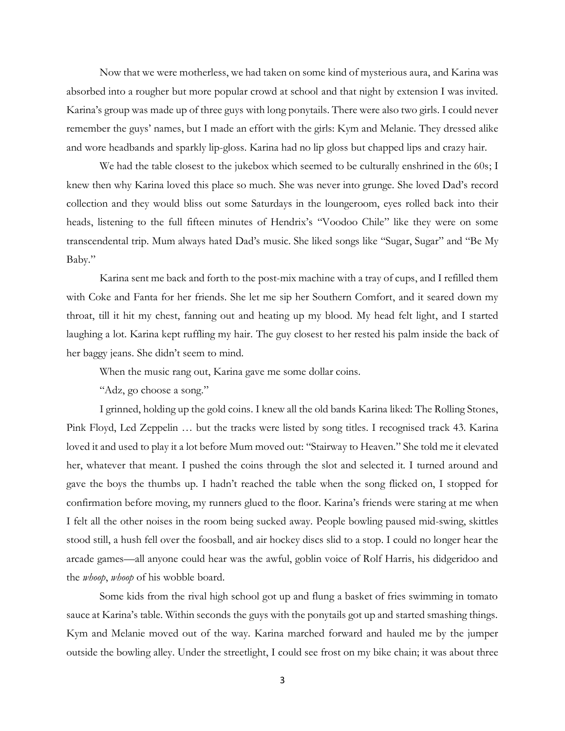Now that we were motherless, we had taken on some kind of mysterious aura, and Karina was absorbed into a rougher but more popular crowd at school and that night by extension I was invited. Karina's group was made up of three guys with long ponytails. There were also two girls. I could never remember the guys' names, but I made an effort with the girls: Kym and Melanie. They dressed alike and wore headbands and sparkly lip-gloss. Karina had no lip gloss but chapped lips and crazy hair.

We had the table closest to the jukebox which seemed to be culturally enshrined in the 60s; I knew then why Karina loved this place so much. She was never into grunge. She loved Dad's record collection and they would bliss out some Saturdays in the loungeroom, eyes rolled back into their heads, listening to the full fifteen minutes of Hendrix's "Voodoo Chile" like they were on some transcendental trip. Mum always hated Dad's music. She liked songs like "Sugar, Sugar" and "Be My Baby."

Karina sent me back and forth to the post-mix machine with a tray of cups, and I refilled them with Coke and Fanta for her friends. She let me sip her Southern Comfort, and it seared down my throat, till it hit my chest, fanning out and heating up my blood. My head felt light, and I started laughing a lot. Karina kept ruffling my hair. The guy closest to her rested his palm inside the back of her baggy jeans. She didn't seem to mind.

When the music rang out, Karina gave me some dollar coins.

"Adz, go choose a song."

I grinned, holding up the gold coins. I knew all the old bands Karina liked: The Rolling Stones, Pink Floyd, Led Zeppelin … but the tracks were listed by song titles. I recognised track 43. Karina loved it and used to play it a lot before Mum moved out: "Stairway to Heaven." She told me it elevated her, whatever that meant. I pushed the coins through the slot and selected it. I turned around and gave the boys the thumbs up. I hadn't reached the table when the song flicked on, I stopped for confirmation before moving, my runners glued to the floor. Karina's friends were staring at me when I felt all the other noises in the room being sucked away. People bowling paused mid-swing, skittles stood still, a hush fell over the foosball, and air hockey discs slid to a stop. I could no longer hear the arcade games—all anyone could hear was the awful, goblin voice of Rolf Harris, his didgeridoo and the *whoop*, *whoop* of his wobble board.

Some kids from the rival high school got up and flung a basket of fries swimming in tomato sauce at Karina's table. Within seconds the guys with the ponytails got up and started smashing things. Kym and Melanie moved out of the way. Karina marched forward and hauled me by the jumper outside the bowling alley. Under the streetlight, I could see frost on my bike chain; it was about three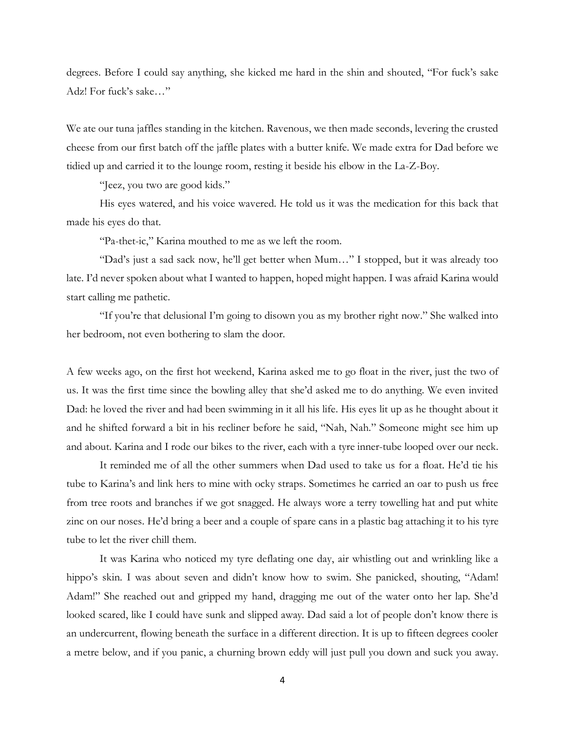degrees. Before I could say anything, she kicked me hard in the shin and shouted, "For fuck's sake Adz! For fuck's sake…"

We ate our tuna jaffles standing in the kitchen. Ravenous, we then made seconds, levering the crusted cheese from our first batch off the jaffle plates with a butter knife. We made extra for Dad before we tidied up and carried it to the lounge room, resting it beside his elbow in the La-Z-Boy.

"Jeez, you two are good kids."

His eyes watered, and his voice wavered. He told us it was the medication for this back that made his eyes do that.

"Pa-thet-ic," Karina mouthed to me as we left the room.

"Dad's just a sad sack now, he'll get better when Mum…" I stopped, but it was already too late. I'd never spoken about what I wanted to happen, hoped might happen. I was afraid Karina would start calling me pathetic.

"If you're that delusional I'm going to disown you as my brother right now." She walked into her bedroom, not even bothering to slam the door.

A few weeks ago, on the first hot weekend, Karina asked me to go float in the river, just the two of us. It was the first time since the bowling alley that she'd asked me to do anything. We even invited Dad: he loved the river and had been swimming in it all his life. His eyes lit up as he thought about it and he shifted forward a bit in his recliner before he said, "Nah, Nah." Someone might see him up and about. Karina and I rode our bikes to the river, each with a tyre inner-tube looped over our neck.

It reminded me of all the other summers when Dad used to take us for a float. He'd tie his tube to Karina's and link hers to mine with ocky straps. Sometimes he carried an oar to push us free from tree roots and branches if we got snagged. He always wore a terry towelling hat and put white zinc on our noses. He'd bring a beer and a couple of spare cans in a plastic bag attaching it to his tyre tube to let the river chill them.

It was Karina who noticed my tyre deflating one day, air whistling out and wrinkling like a hippo's skin. I was about seven and didn't know how to swim. She panicked, shouting, "Adam! Adam!" She reached out and gripped my hand, dragging me out of the water onto her lap. She'd looked scared, like I could have sunk and slipped away. Dad said a lot of people don't know there is an undercurrent, flowing beneath the surface in a different direction. It is up to fifteen degrees cooler a metre below, and if you panic, a churning brown eddy will just pull you down and suck you away.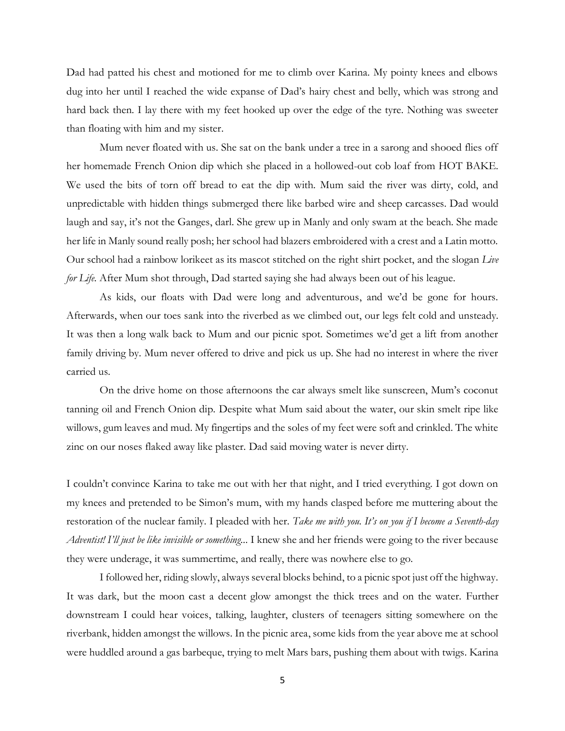Dad had patted his chest and motioned for me to climb over Karina. My pointy knees and elbows dug into her until I reached the wide expanse of Dad's hairy chest and belly, which was strong and hard back then. I lay there with my feet hooked up over the edge of the tyre. Nothing was sweeter than floating with him and my sister.

Mum never floated with us. She sat on the bank under a tree in a sarong and shooed flies off her homemade French Onion dip which she placed in a hollowed-out cob loaf from HOT BAKE. We used the bits of torn off bread to eat the dip with. Mum said the river was dirty, cold, and unpredictable with hidden things submerged there like barbed wire and sheep carcasses. Dad would laugh and say, it's not the Ganges, darl. She grew up in Manly and only swam at the beach. She made her life in Manly sound really posh; her school had blazers embroidered with a crest and a Latin motto. Our school had a rainbow lorikeet as its mascot stitched on the right shirt pocket, and the slogan *Live for Life*. After Mum shot through, Dad started saying she had always been out of his league.

As kids, our floats with Dad were long and adventurous, and we'd be gone for hours. Afterwards, when our toes sank into the riverbed as we climbed out, our legs felt cold and unsteady. It was then a long walk back to Mum and our picnic spot. Sometimes we'd get a lift from another family driving by. Mum never offered to drive and pick us up. She had no interest in where the river carried us.

On the drive home on those afternoons the car always smelt like sunscreen, Mum's coconut tanning oil and French Onion dip. Despite what Mum said about the water, our skin smelt ripe like willows, gum leaves and mud. My fingertips and the soles of my feet were soft and crinkled. The white zinc on our noses flaked away like plaster. Dad said moving water is never dirty.

I couldn't convince Karina to take me out with her that night, and I tried everything. I got down on my knees and pretended to be Simon's mum, with my hands clasped before me muttering about the restoration of the nuclear family. I pleaded with her. *Take me with you. It's on you if I become a Seventh-day Adventist! I'll just be like invisible or something..*. I knew she and her friends were going to the river because they were underage, it was summertime, and really, there was nowhere else to go.

I followed her, riding slowly, always several blocks behind, to a picnic spot just off the highway. It was dark, but the moon cast a decent glow amongst the thick trees and on the water. Further downstream I could hear voices, talking, laughter, clusters of teenagers sitting somewhere on the riverbank, hidden amongst the willows. In the picnic area, some kids from the year above me at school were huddled around a gas barbeque, trying to melt Mars bars, pushing them about with twigs. Karina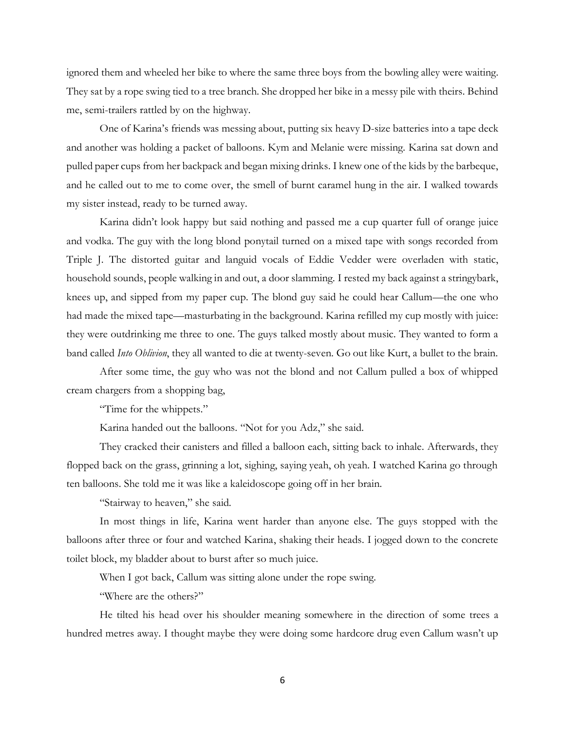ignored them and wheeled her bike to where the same three boys from the bowling alley were waiting. They sat by a rope swing tied to a tree branch. She dropped her bike in a messy pile with theirs. Behind me, semi-trailers rattled by on the highway.

One of Karina's friends was messing about, putting six heavy D-size batteries into a tape deck and another was holding a packet of balloons. Kym and Melanie were missing. Karina sat down and pulled paper cups from her backpack and began mixing drinks. I knew one of the kids by the barbeque, and he called out to me to come over, the smell of burnt caramel hung in the air. I walked towards my sister instead, ready to be turned away.

Karina didn't look happy but said nothing and passed me a cup quarter full of orange juice and vodka. The guy with the long blond ponytail turned on a mixed tape with songs recorded from Triple J. The distorted guitar and languid vocals of Eddie Vedder were overladen with static, household sounds, people walking in and out, a door slamming. I rested my back against a stringybark, knees up, and sipped from my paper cup. The blond guy said he could hear Callum—the one who had made the mixed tape—masturbating in the background. Karina refilled my cup mostly with juice: they were outdrinking me three to one. The guys talked mostly about music. They wanted to form a band called *Into Oblivion*, they all wanted to die at twenty-seven. Go out like Kurt, a bullet to the brain.

After some time, the guy who was not the blond and not Callum pulled a box of whipped cream chargers from a shopping bag,

"Time for the whippets."

Karina handed out the balloons. "Not for you Adz," she said.

They cracked their canisters and filled a balloon each, sitting back to inhale. Afterwards, they flopped back on the grass, grinning a lot, sighing, saying yeah, oh yeah. I watched Karina go through ten balloons. She told me it was like a kaleidoscope going off in her brain.

"Stairway to heaven," she said.

In most things in life, Karina went harder than anyone else. The guys stopped with the balloons after three or four and watched Karina, shaking their heads. I jogged down to the concrete toilet block, my bladder about to burst after so much juice.

When I got back, Callum was sitting alone under the rope swing.

"Where are the others?"

He tilted his head over his shoulder meaning somewhere in the direction of some trees a hundred metres away. I thought maybe they were doing some hardcore drug even Callum wasn't up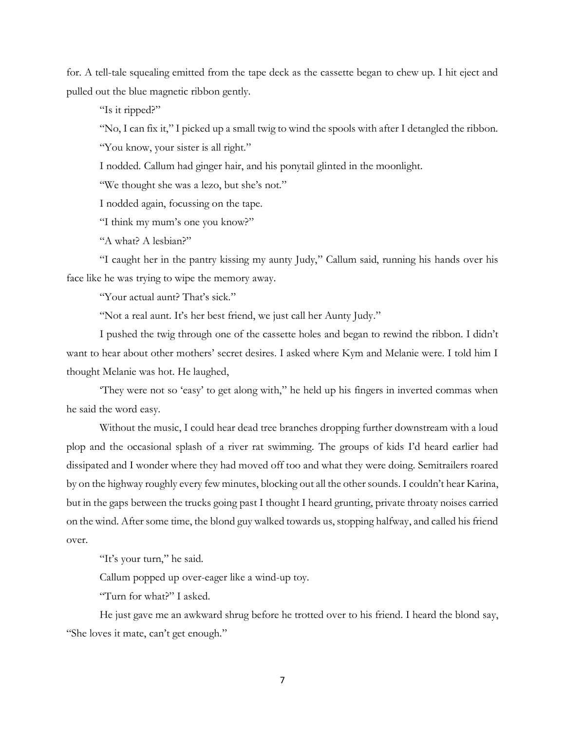for. A tell-tale squealing emitted from the tape deck as the cassette began to chew up. I hit eject and pulled out the blue magnetic ribbon gently.

"Is it ripped?"

"No, I can fix it," I picked up a small twig to wind the spools with after I detangled the ribbon.

"You know, your sister is all right."

I nodded. Callum had ginger hair, and his ponytail glinted in the moonlight.

"We thought she was a lezo, but she's not."

I nodded again, focussing on the tape.

"I think my mum's one you know?"

"A what? A lesbian?"

"I caught her in the pantry kissing my aunty Judy," Callum said, running his hands over his face like he was trying to wipe the memory away.

"Your actual aunt? That's sick."

"Not a real aunt. It's her best friend, we just call her Aunty Judy."

I pushed the twig through one of the cassette holes and began to rewind the ribbon. I didn't want to hear about other mothers' secret desires. I asked where Kym and Melanie were. I told him I thought Melanie was hot. He laughed,

'They were not so 'easy' to get along with," he held up his fingers in inverted commas when he said the word easy.

Without the music, I could hear dead tree branches dropping further downstream with a loud plop and the occasional splash of a river rat swimming. The groups of kids I'd heard earlier had dissipated and I wonder where they had moved off too and what they were doing. Semitrailers roared by on the highway roughly every few minutes, blocking out all the other sounds. I couldn't hear Karina, but in the gaps between the trucks going past I thought I heard grunting, private throaty noises carried on the wind. After some time, the blond guy walked towards us, stopping halfway, and called his friend over.

"It's your turn," he said.

Callum popped up over-eager like a wind-up toy.

"Turn for what?" I asked.

He just gave me an awkward shrug before he trotted over to his friend. I heard the blond say, "She loves it mate, can't get enough."